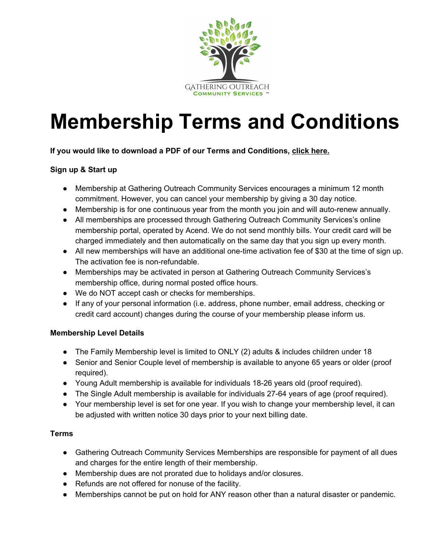

# **Membership Terms and Conditions**

**If you would like to download a PDF of our Terms and Conditions, click here.**

### **Sign up & Start up**

- Membership at Gathering Outreach Community Services encourages a minimum 12 month commitment. However, you can cancel your membership by giving a 30 day notice.
- Membership is for one continuous year from the month you join and will auto-renew annually.
- All memberships are processed through Gathering Outreach Community Services's online membership portal, operated by Acend. We do not send monthly bills. Your credit card will be charged immediately and then automatically on the same day that you sign up every month.
- All new memberships will have an additional one-time activation fee of \$30 at the time of sign up. The activation fee is non-refundable.
- Memberships may be activated in person at Gathering Outreach Community Services's membership office, during normal posted office hours.
- We do NOT accept cash or checks for memberships.
- If any of your personal information (i.e. address, phone number, email address, checking or credit card account) changes during the course of your membership please inform us.

### **Membership Level Details**

- The Family Membership level is limited to ONLY (2) adults & includes children under 18
- Senior and Senior Couple level of membership is available to anyone 65 years or older (proof required).
- Young Adult membership is available for individuals 18-26 years old (proof required).
- The Single Adult membership is available for individuals 27-64 years of age (proof required).
- Your membership level is set for one year. If you wish to change your membership level, it can be adjusted with written notice 30 days prior to your next billing date.

### **Terms**

- Gathering Outreach Community Services Memberships are responsible for payment of all dues and charges for the entire length of their membership.
- Membership dues are not prorated due to holidays and/or closures.
- Refunds are not offered for nonuse of the facility.
- Memberships cannot be put on hold for ANY reason other than a natural disaster or pandemic.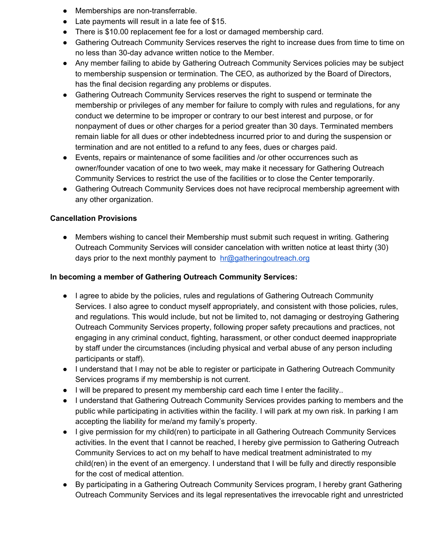- Memberships are non-transferrable.
- Late payments will result in a late fee of \$15.
- There is \$10.00 replacement fee for a lost or damaged membership card.
- Gathering Outreach Community Services reserves the right to increase dues from time to time on no less than 30-day advance written notice to the Member.
- Any member failing to abide by Gathering Outreach Community Services policies may be subject to membership suspension or termination. The CEO, as authorized by the Board of Directors, has the final decision regarding any problems or disputes.
- Gathering Outreach Community Services reserves the right to suspend or terminate the membership or privileges of any member for failure to comply with rules and regulations, for any conduct we determine to be improper or contrary to our best interest and purpose, or for nonpayment of dues or other charges for a period greater than 30 days. Terminated members remain liable for all dues or other indebtedness incurred prior to and during the suspension or termination and are not entitled to a refund to any fees, dues or charges paid.
- Events, repairs or maintenance of some facilities and /or other occurrences such as owner/founder vacation of one to two week, may make it necessary for Gathering Outreach Community Services to restrict the use of the facilities or to close the Center temporarily.
- Gathering Outreach Community Services does not have reciprocal membership agreement with any other organization.

## **Cancellation Provisions**

● Members wishing to cancel their Membership must submit such request in writing. Gathering Outreach Community Services will consider cancelation with written notice at least thirty (30) days prior to the next monthly payment to [hr@gatheringoutreach.org](mailto:hr@gatheringoutreach.org)

### **In becoming a member of Gathering Outreach Community Services:**

- I agree to abide by the policies, rules and regulations of Gathering Outreach Community Services. I also agree to conduct myself appropriately, and consistent with those policies, rules, and regulations. This would include, but not be limited to, not damaging or destroying Gathering Outreach Community Services property, following proper safety precautions and practices, not engaging in any criminal conduct, fighting, harassment, or other conduct deemed inappropriate by staff under the circumstances (including physical and verbal abuse of any person including participants or staff).
- I understand that I may not be able to register or participate in Gathering Outreach Community Services programs if my membership is not current.
- I will be prepared to present my membership card each time I enter the facility..
- I understand that Gathering Outreach Community Services provides parking to members and the public while participating in activities within the facility. I will park at my own risk. In parking I am accepting the liability for me/and my family's property.
- I give permission for my child(ren) to participate in all Gathering Outreach Community Services activities. In the event that I cannot be reached, I hereby give permission to Gathering Outreach Community Services to act on my behalf to have medical treatment administrated to my child(ren) in the event of an emergency. I understand that I will be fully and directly responsible for the cost of medical attention.
- By participating in a Gathering Outreach Community Services program, I hereby grant Gathering Outreach Community Services and its legal representatives the irrevocable right and unrestricted